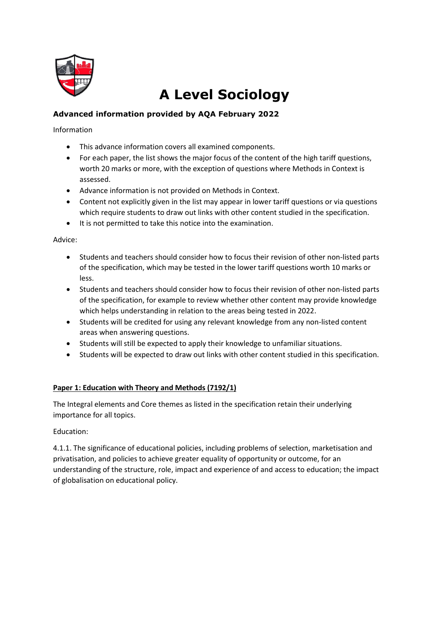

# **A Level Sociology**

# **Advanced information provided by AQA February 2022**

Information

- This advance information covers all examined components.
- For each paper, the list shows the major focus of the content of the high tariff questions, worth 20 marks or more, with the exception of questions where Methods in Context is assessed.
- Advance information is not provided on Methods in Context.
- Content not explicitly given in the list may appear in lower tariff questions or via questions which require students to draw out links with other content studied in the specification.
- It is not permitted to take this notice into the examination.

Advice:

- Students and teachers should consider how to focus their revision of other non-listed parts of the specification, which may be tested in the lower tariff questions worth 10 marks or less.
- Students and teachers should consider how to focus their revision of other non-listed parts of the specification, for example to review whether other content may provide knowledge which helps understanding in relation to the areas being tested in 2022.
- Students will be credited for using any relevant knowledge from any non-listed content areas when answering questions.
- Students will still be expected to apply their knowledge to unfamiliar situations.
- Students will be expected to draw out links with other content studied in this specification.

## **Paper 1: Education with Theory and Methods (7192/1)**

The Integral elements and Core themes as listed in the specification retain their underlying importance for all topics.

Education:

4.1.1. The significance of educational policies, including problems of selection, marketisation and privatisation, and policies to achieve greater equality of opportunity or outcome, for an understanding of the structure, role, impact and experience of and access to education; the impact of globalisation on educational policy.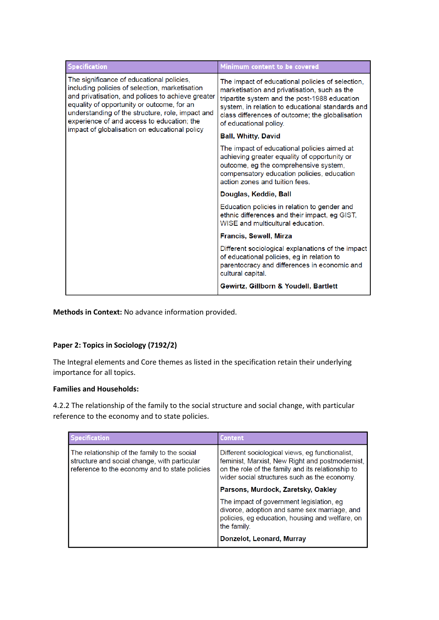| <b>Specification</b>                                                                                                                                                                                                                                                                                                                              | Minimum content to be covered                                                                                                                                                                                                                                                      |
|---------------------------------------------------------------------------------------------------------------------------------------------------------------------------------------------------------------------------------------------------------------------------------------------------------------------------------------------------|------------------------------------------------------------------------------------------------------------------------------------------------------------------------------------------------------------------------------------------------------------------------------------|
| The significance of educational policies.<br>including policies of selection, marketisation<br>and privatisation, and polices to achieve greater<br>equality of opportunity or outcome, for an<br>understanding of the structure, role, impact and<br>experience of and access to education; the<br>impact of globalisation on educational policy | The impact of educational policies of selection,<br>marketisation and privatisation, such as the<br>tripartite system and the post-1988 education<br>system, in relation to educational standards and<br>class differences of outcome; the globalisation<br>of educational policy. |
|                                                                                                                                                                                                                                                                                                                                                   | <b>Ball, Whitty, David</b>                                                                                                                                                                                                                                                         |
|                                                                                                                                                                                                                                                                                                                                                   | The impact of educational policies aimed at<br>achieving greater equality of opportunity or<br>outcome, eg the comprehensive system,<br>compensatory education policies, education<br>action zones and tuition fees.                                                               |
|                                                                                                                                                                                                                                                                                                                                                   | Douglas, Keddie, Ball                                                                                                                                                                                                                                                              |
|                                                                                                                                                                                                                                                                                                                                                   | Education policies in relation to gender and<br>ethnic differences and their impact, eg GIST,<br>WISE and multicultural education.                                                                                                                                                 |
|                                                                                                                                                                                                                                                                                                                                                   | <b>Francis, Sewell, Mirza</b>                                                                                                                                                                                                                                                      |
|                                                                                                                                                                                                                                                                                                                                                   | Different sociological explanations of the impact<br>of educational policies, eg in relation to<br>parentocracy and differences in economic and<br>cultural capital.                                                                                                               |
|                                                                                                                                                                                                                                                                                                                                                   | Gewirtz, Gillborn & Youdell, Bartlett                                                                                                                                                                                                                                              |

**Methods in Context:** No advance information provided.

## **Paper 2: Topics in Sociology (7192/2)**

The Integral elements and Core themes as listed in the specification retain their underlying importance for all topics.

#### **Families and Households:**

4.2.2 The relationship of the family to the social structure and social change, with particular reference to the economy and to state policies.

| <b>Specification</b>                                                                                                                           | <b>Content</b>                                                                                                                                                                                          |
|------------------------------------------------------------------------------------------------------------------------------------------------|---------------------------------------------------------------------------------------------------------------------------------------------------------------------------------------------------------|
| The relationship of the family to the social<br>structure and social change, with particular<br>reference to the economy and to state policies | Different sociological views, eg functionalist,<br>feminist, Marxist, New Right and postmodernist,<br>on the role of the family and its relationship to<br>wider social structures such as the economy. |
|                                                                                                                                                | Parsons, Murdock, Zaretsky, Oakley                                                                                                                                                                      |
|                                                                                                                                                | The impact of government legislation, eg<br>divorce, adoption and same sex marriage, and<br>policies, eg education, housing and welfare, on<br>the family.                                              |
|                                                                                                                                                | Donzelot, Leonard, Murray                                                                                                                                                                               |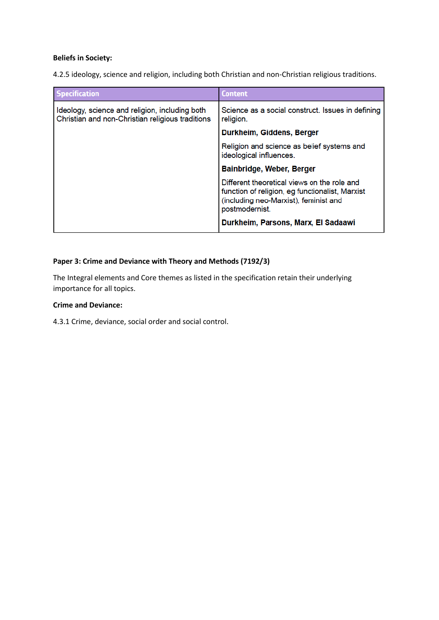#### **Beliefs in Society:**

4.2.5 ideology, science and religion, including both Christian and non-Christian religious traditions.

| <b>Specification</b>                                                                               | Content                                                                                                                                                                                          |
|----------------------------------------------------------------------------------------------------|--------------------------------------------------------------------------------------------------------------------------------------------------------------------------------------------------|
| Ideology, science and religion, including both<br>Christian and non-Christian religious traditions | Science as a social construct. Issues in defining<br>religion.                                                                                                                                   |
|                                                                                                    | Durkheim, Giddens, Berger                                                                                                                                                                        |
|                                                                                                    | Religion and science as belief systems and<br>ideological influences.                                                                                                                            |
|                                                                                                    | <b>Bainbridge, Weber, Berger</b>                                                                                                                                                                 |
|                                                                                                    | Different theoretical views on the role and<br>function of religion, eg functionalist, Marxist<br>(including neo-Marxist), feminist and<br>postmodernist.<br>Durkheim, Parsons, Marx, El Sadaawi |

#### **Paper 3: Crime and Deviance with Theory and Methods (7192/3)**

The Integral elements and Core themes as listed in the specification retain their underlying importance for all topics.

### **Crime and Deviance:**

4.3.1 Crime, deviance, social order and social control.